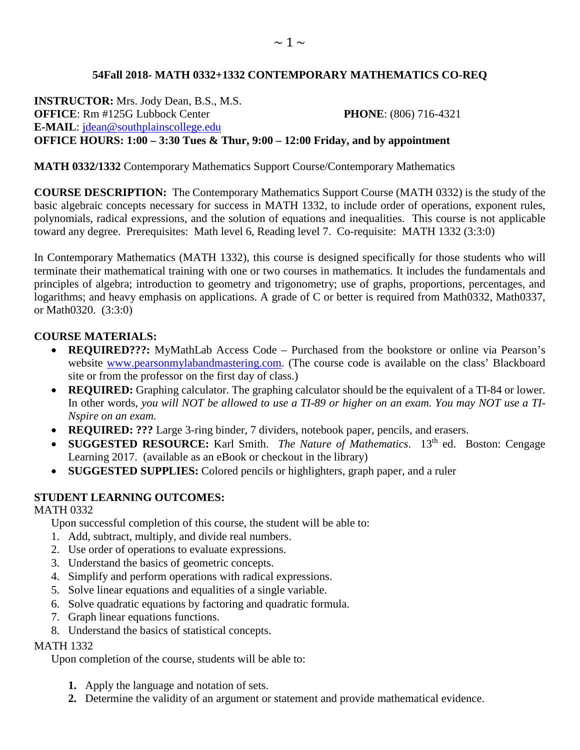# **54Fall 2018- MATH 0332+1332 CONTEMPORARY MATHEMATICS CO-REQ**

**INSTRUCTOR:** Mrs. Jody Dean, B.S., M.S. **OFFICE**: Rm #125G Lubbock Center **PHONE**: (806) 716-4321 **E-MAIL**: [jdean@southplainscollege.edu](mailto:jdean@southplainscollege.edu)  **OFFICE HOURS: 1:00 – 3:30 Tues & Thur, 9:00 – 12:00 Friday, and by appointment**

# **MATH 0332/1332** Contemporary Mathematics Support Course/Contemporary Mathematics

**COURSE DESCRIPTION:** The Contemporary Mathematics Support Course (MATH 0332) is the study of the basic algebraic concepts necessary for success in MATH 1332, to include order of operations, exponent rules, polynomials, radical expressions, and the solution of equations and inequalities. This course is not applicable toward any degree. Prerequisites: Math level 6, Reading level 7. Co-requisite: MATH 1332 (3:3:0)

In Contemporary Mathematics (MATH 1332), this course is designed specifically for those students who will terminate their mathematical training with one or two courses in mathematics. It includes the fundamentals and principles of algebra; introduction to geometry and trigonometry; use of graphs, proportions, percentages, and logarithms; and heavy emphasis on applications. A grade of C or better is required from Math0332, Math0337, or Math0320. (3:3:0)

# **COURSE MATERIALS:**

- **REQUIRED???:** MyMathLab Access Code Purchased from the bookstore or online via Pearson's website [www.pearsonmylabandmastering.com.](http://www.pearsonmylabandmastering.com/) (The course code is available on the class' Blackboard site or from the professor on the first day of class.)
- **REQUIRED:** Graphing calculator. The graphing calculator should be the equivalent of a TI-84 or lower. In other words, *you will NOT be allowed to use a TI-89 or higher on an exam. You may NOT use a TI-Nspire on an exam.*
- **REQUIRED: ???** Large 3-ring binder, 7 dividers, notebook paper, pencils, and erasers.
- **SUGGESTED RESOURCE:** Karl Smith. *The Nature of Mathematics*. 13<sup>th</sup> ed. Boston: Cengage Learning 2017. (available as an eBook or checkout in the library)
- **SUGGESTED SUPPLIES:** Colored pencils or highlighters, graph paper, and a ruler

# **STUDENT LEARNING OUTCOMES:**

### MATH 0332

Upon successful completion of this course, the student will be able to:

- 1. Add, subtract, multiply, and divide real numbers.
- 2. Use order of operations to evaluate expressions.
- 3. Understand the basics of geometric concepts.
- 4. Simplify and perform operations with radical expressions.
- 5. Solve linear equations and equalities of a single variable.
- 6. Solve quadratic equations by factoring and quadratic formula.
- 7. Graph linear equations functions.
- 8. Understand the basics of statistical concepts.

# MATH 1332

Upon completion of the course, students will be able to:

- **1.** Apply the language and notation of sets.
- **2.** Determine the validity of an argument or statement and provide mathematical evidence.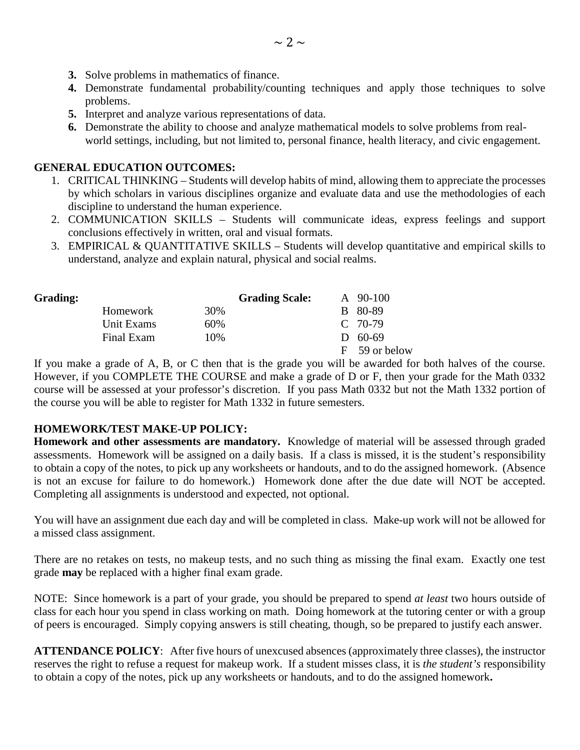- **3.** Solve problems in mathematics of finance.
- **4.** Demonstrate fundamental probability/counting techniques and apply those techniques to solve problems.
- **5.** Interpret and analyze various representations of data.
- **6.** Demonstrate the ability to choose and analyze mathematical models to solve problems from realworld settings, including, but not limited to, personal finance, health literacy, and civic engagement.

### **GENERAL EDUCATION OUTCOMES:**

- 1. CRITICAL THINKING Students will develop habits of mind, allowing them to appreciate the processes by which scholars in various disciplines organize and evaluate data and use the methodologies of each discipline to understand the human experience.
- 2. COMMUNICATION SKILLS Students will communicate ideas, express feelings and support conclusions effectively in written, oral and visual formats.
- 3. EMPIRICAL & QUANTITATIVE SKILLS Students will develop quantitative and empirical skills to understand, analyze and explain natural, physical and social realms.

| <b>Grading:</b> |            |     | <b>Grading Scale:</b> | A 90-100      |
|-----------------|------------|-----|-----------------------|---------------|
|                 | Homework   | 30% |                       | B 80-89       |
|                 | Unit Exams | 60% |                       | $C$ 70-79     |
|                 | Final Exam | 10% |                       | $D = 60-69$   |
|                 |            |     |                       | F 59 or below |

If you make a grade of A, B, or C then that is the grade you will be awarded for both halves of the course. However, if you COMPLETE THE COURSE and make a grade of D or F, then your grade for the Math 0332 course will be assessed at your professor's discretion. If you pass Math 0332 but not the Math 1332 portion of the course you will be able to register for Math 1332 in future semesters.

### **HOMEWORK/TEST MAKE-UP POLICY:**

**Homework and other assessments are mandatory.** Knowledge of material will be assessed through graded assessments. Homework will be assigned on a daily basis. If a class is missed, it is the student's responsibility to obtain a copy of the notes, to pick up any worksheets or handouts, and to do the assigned homework. (Absence is not an excuse for failure to do homework.) Homework done after the due date will NOT be accepted. Completing all assignments is understood and expected, not optional.

You will have an assignment due each day and will be completed in class. Make-up work will not be allowed for a missed class assignment.

There are no retakes on tests, no makeup tests, and no such thing as missing the final exam. Exactly one test grade **may** be replaced with a higher final exam grade.

NOTE: Since homework is a part of your grade, you should be prepared to spend *at least* two hours outside of class for each hour you spend in class working on math. Doing homework at the tutoring center or with a group of peers is encouraged. Simply copying answers is still cheating, though, so be prepared to justify each answer.

**ATTENDANCE POLICY**: After five hours of unexcused absences (approximately three classes), the instructor reserves the right to refuse a request for makeup work. If a student misses class, it is *the student's* responsibility to obtain a copy of the notes, pick up any worksheets or handouts, and to do the assigned homework**.**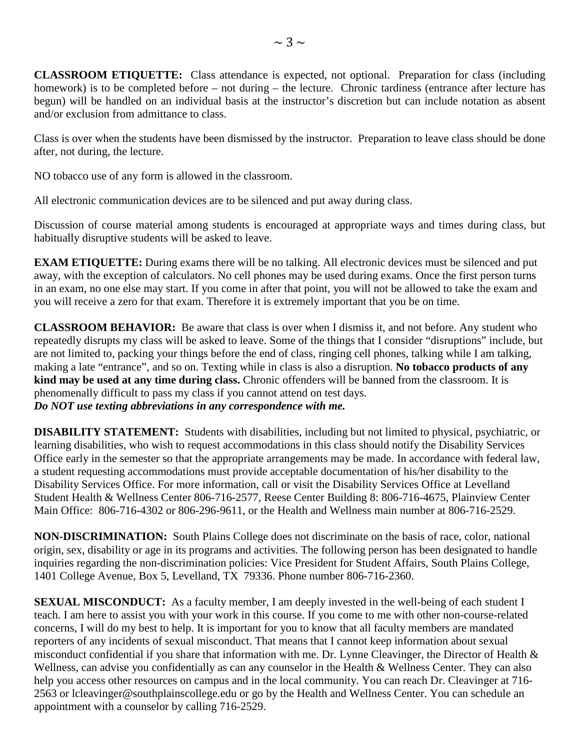**CLASSROOM ETIQUETTE:** Class attendance is expected, not optional. Preparation for class (including homework) is to be completed before – not during – the lecture. Chronic tardiness (entrance after lecture has begun) will be handled on an individual basis at the instructor's discretion but can include notation as absent and/or exclusion from admittance to class.

Class is over when the students have been dismissed by the instructor. Preparation to leave class should be done after, not during, the lecture.

NO tobacco use of any form is allowed in the classroom.

All electronic communication devices are to be silenced and put away during class.

Discussion of course material among students is encouraged at appropriate ways and times during class, but habitually disruptive students will be asked to leave.

**EXAM ETIQUETTE:** During exams there will be no talking. All electronic devices must be silenced and put away, with the exception of calculators. No cell phones may be used during exams. Once the first person turns in an exam, no one else may start. If you come in after that point, you will not be allowed to take the exam and you will receive a zero for that exam. Therefore it is extremely important that you be on time.

**CLASSROOM BEHAVIOR:** Be aware that class is over when I dismiss it, and not before. Any student who repeatedly disrupts my class will be asked to leave. Some of the things that I consider "disruptions" include, but are not limited to, packing your things before the end of class, ringing cell phones, talking while I am talking, making a late "entrance", and so on. Texting while in class is also a disruption. **No tobacco products of any kind may be used at any time during class.** Chronic offenders will be banned from the classroom. It is phenomenally difficult to pass my class if you cannot attend on test days. *Do NOT use texting abbreviations in any correspondence with me.*

**DISABILITY STATEMENT:** Students with disabilities, including but not limited to physical, psychiatric, or learning disabilities, who wish to request accommodations in this class should notify the Disability Services Office early in the semester so that the appropriate arrangements may be made. In accordance with federal law, a student requesting accommodations must provide acceptable documentation of his/her disability to the Disability Services Office. For more information, call or visit the Disability Services Office at Levelland Student Health & Wellness Center 806-716-2577, Reese Center Building 8: 806-716-4675, Plainview Center Main Office: 806-716-4302 or 806-296-9611, or the Health and Wellness main number at 806-716-2529.

**NON-DISCRIMINATION:** South Plains College does not discriminate on the basis of race, color, national origin, sex, disability or age in its programs and activities. The following person has been designated to handle inquiries regarding the non-discrimination policies: Vice President for Student Affairs, South Plains College, 1401 College Avenue, Box 5, Levelland, TX 79336. Phone number 806-716-2360.

**SEXUAL MISCONDUCT:** As a faculty member, I am deeply invested in the well-being of each student I teach. I am here to assist you with your work in this course. If you come to me with other non-course-related concerns, I will do my best to help. It is important for you to know that all faculty members are mandated reporters of any incidents of sexual misconduct. That means that I cannot keep information about sexual misconduct confidential if you share that information with me. Dr. Lynne Cleavinger, the Director of Health & Wellness, can advise you confidentially as can any counselor in the Health & Wellness Center. They can also help you access other resources on campus and in the local community. You can reach Dr. Cleavinger at 716-2563 or lcleavinger@southplainscollege.edu or go by the Health and Wellness Center. You can schedule an appointment with a counselor by calling 716-2529.